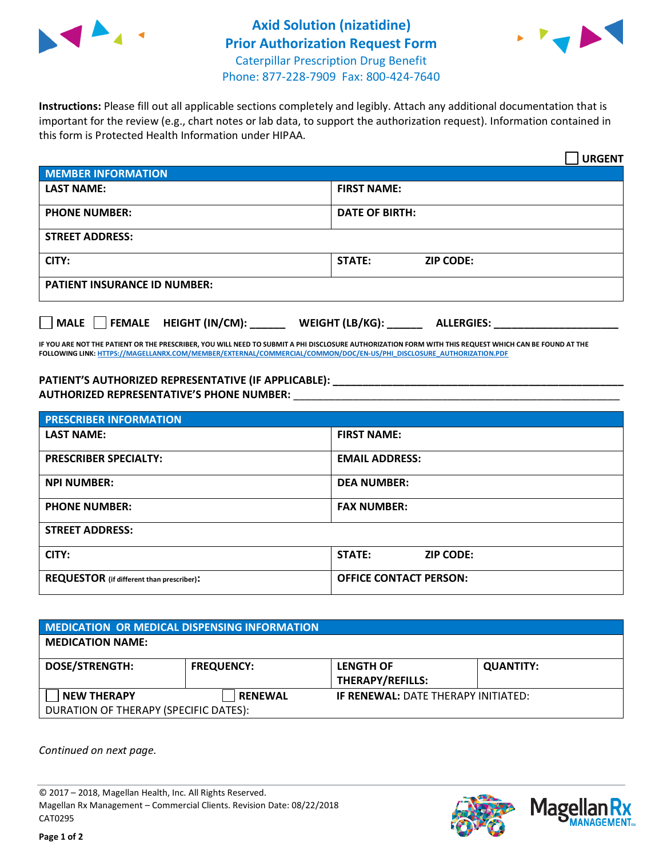



**Instructions:** Please fill out all applicable sections completely and legibly. Attach any additional documentation that is important for the review (e.g., chart notes or lab data, to support the authorization request). Information contained in this form is Protected Health Information under HIPAA.

|                                                        | <b>URGENT</b>                        |  |  |
|--------------------------------------------------------|--------------------------------------|--|--|
| <b>MEMBER INFORMATION</b>                              |                                      |  |  |
| <b>LAST NAME:</b>                                      | <b>FIRST NAME:</b>                   |  |  |
| <b>PHONE NUMBER:</b>                                   | <b>DATE OF BIRTH:</b>                |  |  |
| <b>STREET ADDRESS:</b>                                 |                                      |  |  |
| CITY:                                                  | <b>STATE:</b><br><b>ZIP CODE:</b>    |  |  |
| <b>PATIENT INSURANCE ID NUMBER:</b>                    |                                      |  |  |
| FEMALE HEIGHT (IN/CM):<br>$\vert$ MALE $\vert$ $\vert$ | WEIGHT (LB/KG):<br><b>ALLERGIES:</b> |  |  |

**IF YOU ARE NOT THE PATIENT OR THE PRESCRIBER, YOU WILL NEED TO SUBMIT A PHI DISCLOSURE AUTHORIZATION FORM WITH THIS REQUEST WHICH CAN BE FOUND AT THE FOLLOWING LINK[: HTTPS://MAGELLANRX.COM/MEMBER/EXTERNAL/COMMERCIAL/COMMON/DOC/EN-US/PHI\\_DISCLOSURE\\_AUTHORIZATION.PDF](https://magellanrx.com/member/external/commercial/common/doc/en-us/PHI_Disclosure_Authorization.pdf)**

**PATIENT'S AUTHORIZED REPRESENTATIVE (IF APPLICABLE): \_\_\_\_\_\_\_\_\_\_\_\_\_\_\_\_\_\_\_\_\_\_\_\_\_\_\_\_\_\_\_\_\_\_\_\_\_\_\_\_\_\_\_\_\_\_\_\_\_ AUTHORIZED REPRESENTATIVE'S PHONE NUMBER:** \_\_\_\_\_\_\_\_\_\_\_\_\_\_\_\_\_\_\_\_\_\_\_\_\_\_\_\_\_\_\_\_\_\_\_\_\_\_\_\_\_\_\_\_\_\_\_\_\_\_\_\_\_\_\_

| <b>PRESCRIBER INFORMATION</b>             |                               |  |  |  |
|-------------------------------------------|-------------------------------|--|--|--|
| <b>LAST NAME:</b>                         | <b>FIRST NAME:</b>            |  |  |  |
| <b>PRESCRIBER SPECIALTY:</b>              | <b>EMAIL ADDRESS:</b>         |  |  |  |
| <b>NPI NUMBER:</b>                        | <b>DEA NUMBER:</b>            |  |  |  |
| <b>PHONE NUMBER:</b>                      | <b>FAX NUMBER:</b>            |  |  |  |
| <b>STREET ADDRESS:</b>                    |                               |  |  |  |
| CITY:                                     | STATE:<br><b>ZIP CODE:</b>    |  |  |  |
| REQUESTOR (if different than prescriber): | <b>OFFICE CONTACT PERSON:</b> |  |  |  |

| <b>MEDICATION OR MEDICAL DISPENSING INFORMATION</b> |                   |                                            |                  |  |  |
|-----------------------------------------------------|-------------------|--------------------------------------------|------------------|--|--|
| <b>MEDICATION NAME:</b>                             |                   |                                            |                  |  |  |
| <b>DOSE/STRENGTH:</b>                               | <b>FREQUENCY:</b> | <b>LENGTH OF</b>                           | <b>QUANTITY:</b> |  |  |
|                                                     |                   | <b>THERAPY/REFILLS:</b>                    |                  |  |  |
| <b>NEW THERAPY</b>                                  | <b>RENEWAL</b>    | <b>IF RENEWAL: DATE THERAPY INITIATED:</b> |                  |  |  |
| DURATION OF THERAPY (SPECIFIC DATES):               |                   |                                            |                  |  |  |

*Continued on next page.*

© 2017 – 2018, Magellan Health, Inc. All Rights Reserved. Magellan Rx Management – Commercial Clients. Revision Date: 08/22/2018 CAT0295